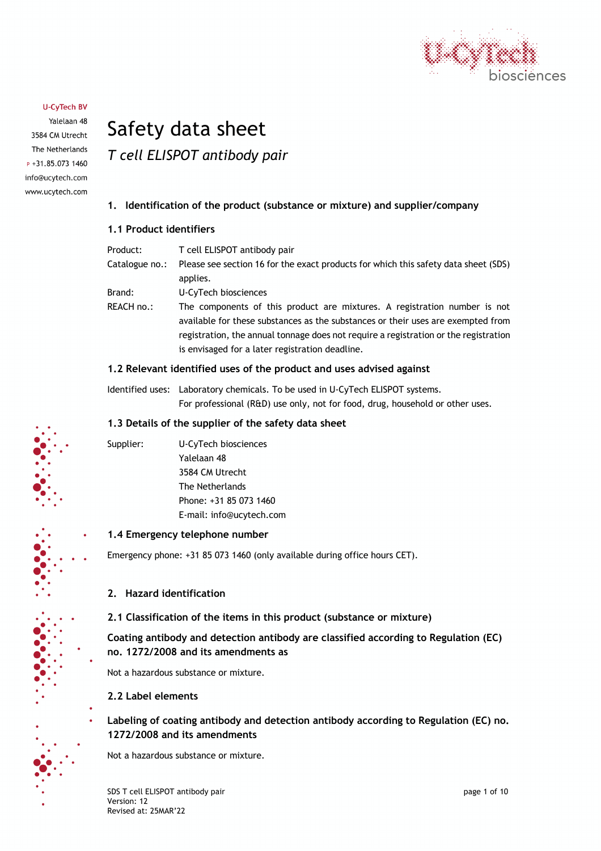

Yalelaan 48 3584 CM Utrecht The Netherlands  $P + 31.85.0731460$ info@ucytech.com www.ucytech.com

# Safety data sheet *T cell ELISPOT antibody pair*

## **1. Identification of the product (substance or mixture) and supplier/company**

## **1.1 Product identifiers**

| Product:       | T cell ELISPOT antibody pair                                                                                                                                                                                                                                                                             |
|----------------|----------------------------------------------------------------------------------------------------------------------------------------------------------------------------------------------------------------------------------------------------------------------------------------------------------|
| Catalogue no.: | Please see section 16 for the exact products for which this safety data sheet (SDS)<br>applies.                                                                                                                                                                                                          |
|                |                                                                                                                                                                                                                                                                                                          |
| Brand:         | U-CyTech biosciences                                                                                                                                                                                                                                                                                     |
| REACH no.:     | The components of this product are mixtures. A registration number is not<br>available for these substances as the substances or their uses are exempted from<br>registration, the annual tonnage does not require a registration or the registration<br>is envisaged for a later registration deadline. |
|                |                                                                                                                                                                                                                                                                                                          |

## **1.2 Relevant identified uses of the product and uses advised against**

Identified uses: Laboratory chemicals. To be used in U-CyTech ELISPOT systems. For professional (R&D) use only, not for food, drug, household or other uses.

## **1.3 Details of the supplier of the safety data sheet**

Supplier: U-CyTech biosciences Yalelaan 48 3584 CM Utrecht The Netherlands Phone: +31 85 073 1460 E-mail: info@ucytech.com

## **1.4 Emergency telephone number**

Emergency phone: +31 85 073 1460 (only available during office hours CET).

## **2. Hazard identification**

**2.1 Classification of the items in this product (substance or mixture)**

**Coating antibody and detection antibody are classified according to Regulation (EC) no. 1272/2008 and its amendments as**

Not a hazardous substance or mixture.

## **2.2 Label elements**

**Labeling of coating antibody and detection antibody according to Regulation (EC) no. 1272/2008 and its amendments**

Not a hazardous substance or mixture.

SDS T cell ELISPOT antibody pair **page 1** of 10 Version: 12 Revised at: 25MAR'22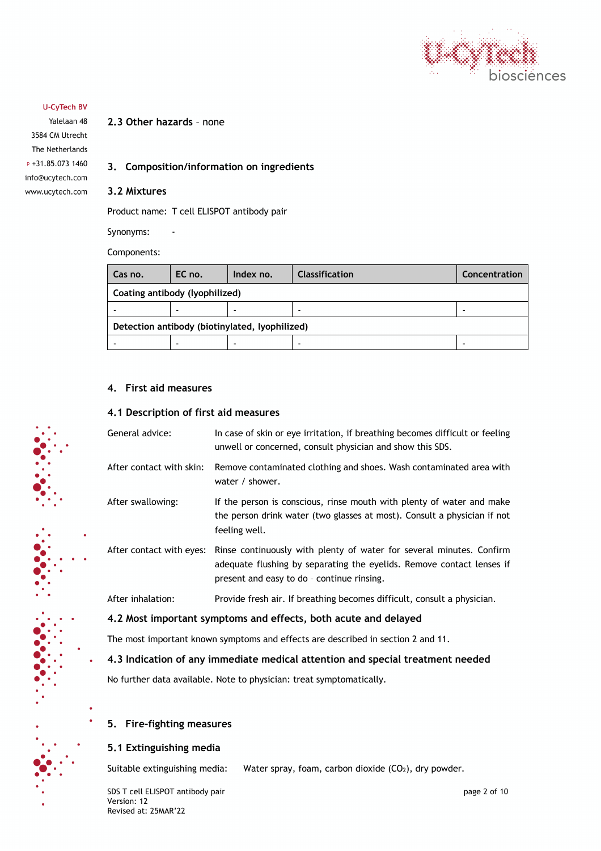

Yalelaan 48 3584 CM Utrecht The Netherlands P +31.85.073 1460 info@ucytech.com www.ucytech.com

## **2.3 Other hazards** – none

## **3. Composition/information on ingredients**

#### **3.2 Mixtures**

Product name: T cell ELISPOT antibody pair

Synonyms: -

Components:

| Cas no.                                        | EC no. | Index no. | <b>Classification</b> | Concentration |
|------------------------------------------------|--------|-----------|-----------------------|---------------|
| Coating antibody (lyophilized)                 |        |           |                       |               |
|                                                |        |           |                       | -             |
| Detection antibody (biotinylated, lyophilized) |        |           |                       |               |
|                                                |        |           |                       |               |

## **4. First aid measures**

## **4.1 Description of first aid measures**

| General advice:                                                                  | In case of skin or eye irritation, if breathing becomes difficult or feeling<br>unwell or concerned, consult physician and show this SDS.                                                   |  |  |  |
|----------------------------------------------------------------------------------|---------------------------------------------------------------------------------------------------------------------------------------------------------------------------------------------|--|--|--|
| After contact with skin:                                                         | Remove contaminated clothing and shoes. Wash contaminated area with<br>water / shower.                                                                                                      |  |  |  |
| After swallowing:                                                                | If the person is conscious, rinse mouth with plenty of water and make<br>the person drink water (two glasses at most). Consult a physician if not<br>feeling well.                          |  |  |  |
| After contact with eyes:                                                         | Rinse continuously with plenty of water for several minutes. Confirm<br>adequate flushing by separating the eyelids. Remove contact lenses if<br>present and easy to do - continue rinsing. |  |  |  |
| After inhalation:                                                                | Provide fresh air. If breathing becomes difficult, consult a physician.                                                                                                                     |  |  |  |
| 4.2 Most important symptoms and effects, both acute and delayed                  |                                                                                                                                                                                             |  |  |  |
| The most important known symptoms and effects are described in section 2 and 11. |                                                                                                                                                                                             |  |  |  |

## **4.3 Indication of any immediate medical attention and special treatment needed**

No further data available. Note to physician: treat symptomatically.

## **5. Fire-fighting measures**

## **5.1 Extinguishing media**

Suitable extinguishing media: Water spray, foam, carbon dioxide  $(CO<sub>2</sub>)$ , dry powder.

SDS T cell ELISPOT antibody pair **page 2** of 10 Version: 12 Revised at: 25MAR'22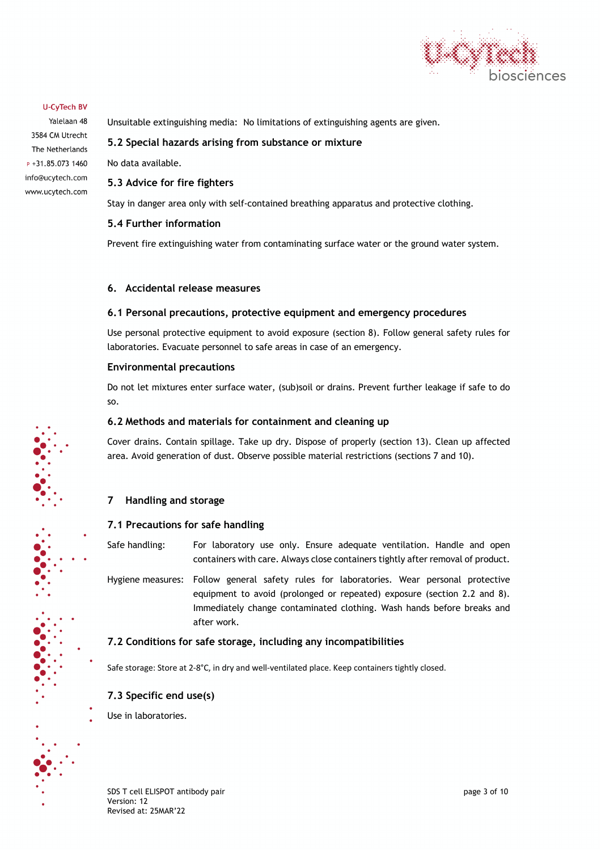

Yalelaan 48 3584 CM Utrecht The Netherlands  $P + 31.85.0731460$ info@ucytech.com www.ucytech.com Unsuitable extinguishing media: No limitations of extinguishing agents are given.

#### **5.2 Special hazards arising from substance or mixture**

No data available.

## **5.3 Advice for fire fighters**

Stay in danger area only with self-contained breathing apparatus and protective clothing.

#### **5.4 Further information**

Prevent fire extinguishing water from contaminating surface water or the ground water system.

#### **6. Accidental release measures**

#### **6.1 Personal precautions, protective equipment and emergency procedures**

Use personal protective equipment to avoid exposure (section 8). Follow general safety rules for laboratories. Evacuate personnel to safe areas in case of an emergency.

#### **Environmental precautions**

Do not let mixtures enter surface water, (sub)soil or drains. Prevent further leakage if safe to do so.

#### **6.2 Methods and materials for containment and cleaning up**

Cover drains. Contain spillage. Take up dry. Dispose of properly (section 13). Clean up affected area. Avoid generation of dust. Observe possible material restrictions (sections 7 and 10).

## **7 Handling and storage**

## **7.1 Precautions for safe handling**

Safe handling: For laboratory use only. Ensure adequate ventilation. Handle and open containers with care. Always close containers tightly after removal of product.

Hygiene measures: Follow general safety rules for laboratories. Wear personal protective equipment to avoid (prolonged or repeated) exposure (section 2.2 and 8). Immediately change contaminated clothing. Wash hands before breaks and after work.

## **7.2 Conditions for safe storage, including any incompatibilities**

Safe storage: Store at 2-8°C, in dry and well-ventilated place. Keep containers tightly closed.

## **7.3 Specific end use(s)**

Use in laboratories.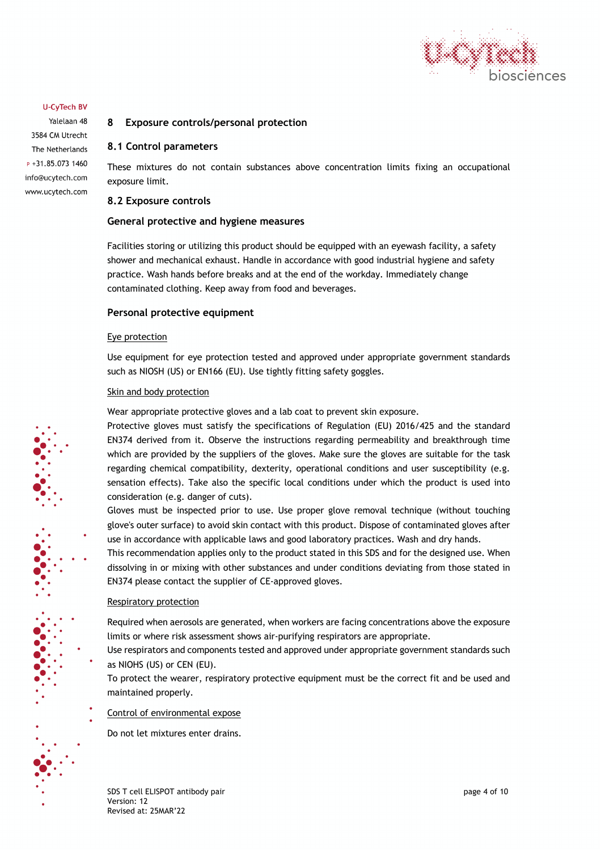

Yalelaan 48 3584 CM Utrecht The Netherlands  $P + 31.85.0731460$ info@ucytech.com www.ucytech.com

## **8 Exposure controls/personal protection**

#### **8.1 Control parameters**

These mixtures do not contain substances above concentration limits fixing an occupational exposure limit.

#### **8.2 Exposure controls**

#### **General protective and hygiene measures**

Facilities storing or utilizing this product should be equipped with an eyewash facility, a safety shower and mechanical exhaust. Handle in accordance with good industrial hygiene and safety practice. Wash hands before breaks and at the end of the workday. Immediately change contaminated clothing. Keep away from food and beverages.

#### **Personal protective equipment**

#### Eye protection

Use equipment for eye protection tested and approved under appropriate government standards such as NIOSH (US) or EN166 (EU). Use tightly fitting safety goggles.

#### Skin and body protection

Wear appropriate protective gloves and a lab coat to prevent skin exposure.

Protective gloves must satisfy the specifications of Regulation (EU) 2016/425 and the standard EN374 derived from it. Observe the instructions regarding permeability and breakthrough time which are provided by the suppliers of the gloves. Make sure the gloves are suitable for the task regarding chemical compatibility, dexterity, operational conditions and user susceptibility (e.g. sensation effects). Take also the specific local conditions under which the product is used into consideration (e.g. danger of cuts).

Gloves must be inspected prior to use. Use proper glove removal technique (without touching glove's outer surface) to avoid skin contact with this product. Dispose of contaminated gloves after use in accordance with applicable laws and good laboratory practices. Wash and dry hands.

This recommendation applies only to the product stated in this SDS and for the designed use. When dissolving in or mixing with other substances and under conditions deviating from those stated in EN374 please contact the supplier of CE-approved gloves.

#### Respiratory protection

Required when aerosols are generated, when workers are facing concentrations above the exposure limits or where risk assessment shows air-purifying respirators are appropriate.

Use respirators and components tested and approved under appropriate government standards such as NIOHS (US) or CEN (EU).

To protect the wearer, respiratory protective equipment must be the correct fit and be used and maintained properly.

#### Control of environmental expose

Do not let mixtures enter drains.

SDS T cell ELISPOT antibody pair **page 4 of 10** and page 4 of 10 Version: 12 Revised at: 25MAR'22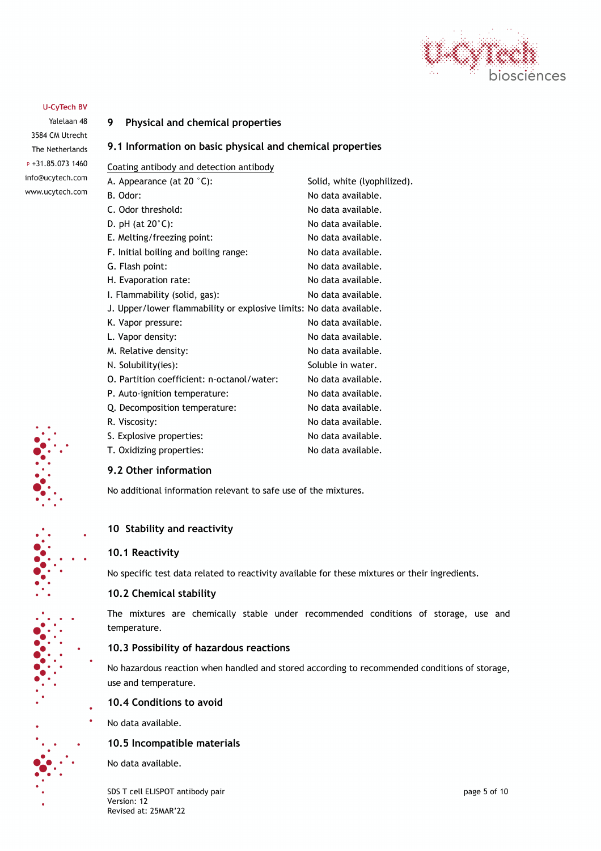

Yalelaan 48 3584 CM Utrecht The Netherlands  $P + 31.85.0731460$ info@ucytech.com www.ucytech.com

## **9 Physical and chemical properties**

## **9.1 Information on basic physical and chemical properties**

Coating antibody and detection antibody

| A. Appearance (at 20 $°C$ ):                                        | Solid, white (lyophilized). |
|---------------------------------------------------------------------|-----------------------------|
| B. Odor:                                                            | No data available.          |
| C. Odor threshold:                                                  | No data available.          |
| D. pH (at $20^{\circ}$ C):                                          | No data available.          |
| E. Melting/freezing point:                                          | No data available.          |
| F. Initial boiling and boiling range:                               | No data available.          |
| G. Flash point:                                                     | No data available.          |
| H. Evaporation rate:                                                | No data available.          |
| I. Flammability (solid, gas):                                       | No data available.          |
| J. Upper/lower flammability or explosive limits: No data available. |                             |
| K. Vapor pressure:                                                  | No data available.          |
| L. Vapor density:                                                   | No data available.          |
| M. Relative density:                                                | No data available.          |
| N. Solubility(ies):                                                 | Soluble in water.           |
| O. Partition coefficient: n-octanol/water:                          | No data available.          |
| P. Auto-ignition temperature:                                       | No data available.          |
| Q. Decomposition temperature:                                       | No data available.          |
| R. Viscosity:                                                       | No data available.          |
| S. Explosive properties:                                            | No data available.          |
| T. Oxidizing properties:                                            | No data available.          |

## **9.2 Other information**

No additional information relevant to safe use of the mixtures.

## **10 Stability and reactivity**

## **10.1 Reactivity**

No specific test data related to reactivity available for these mixtures or their ingredients.

## **10.2 Chemical stability**

The mixtures are chemically stable under recommended conditions of storage, use and temperature.

## **10.3 Possibility of hazardous reactions**

No hazardous reaction when handled and stored according to recommended conditions of storage, use and temperature.

## **10.4 Conditions to avoid**

No data available.

#### **10.5 Incompatible materials**

No data available.

SDS T cell ELISPOT antibody pair and the state of the state of the state of the state of the state of the state of the state of the state of the state of the state of the state of the state of the state of the state of the Version: 12 Revised at: 25MAR'22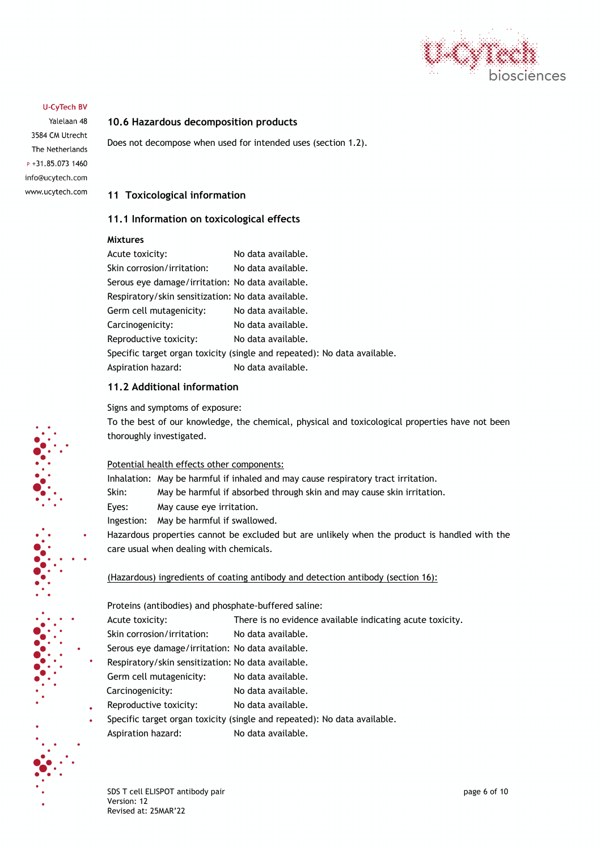

Yalelaan 48 3584 CM Utrecht The Netherlands  $P + 31.85.0731460$ info@ucytech.com www.ucytech.com

#### **10.6 Hazardous decomposition products**

Does not decompose when used for intended uses (section 1.2).

#### **11 Toxicological information**

#### **11.1 Information on toxicological effects**

#### **Mixtures**

| Acute toxicity:                                    | No data available.                                                       |
|----------------------------------------------------|--------------------------------------------------------------------------|
| Skin corrosion/irritation:                         | No data available.                                                       |
| Serous eye damage/irritation: No data available.   |                                                                          |
| Respiratory/skin sensitization: No data available. |                                                                          |
| Germ cell mutagenicity:                            | No data available.                                                       |
| Carcinogenicity:                                   | No data available.                                                       |
| Reproductive toxicity:                             | No data available.                                                       |
|                                                    | Specific target organ toxicity (single and repeated): No data available. |
| Aspiration hazard:                                 | No data available.                                                       |

## **11.2 Additional information**

Signs and symptoms of exposure:

To the best of our knowledge, the chemical, physical and toxicological properties have not been thoroughly investigated.

#### Potential health effects other components:

- Inhalation: May be harmful if inhaled and may cause respiratory tract irritation.
- Skin: May be harmful if absorbed through skin and may cause skin irritation.
- Eyes: May cause eye irritation.
- Ingestion: May be harmful if swallowed.
- Hazardous properties cannot be excluded but are unlikely when the product is handled with the care usual when dealing with chemicals.

#### (Hazardous) ingredients of coating antibody and detection antibody (section 16):

Proteins (antibodies) and phosphate-buffered saline:

- Acute toxicity: There is no evidence available indicating acute toxicity.
- Skin corrosion/irritation: No data available.
- Serous eye damage/irritation: No data available.
- Respiratory/skin sensitization: No data available.

Germ cell mutagenicity: No data available.

- Carcinogenicity: No data available.
- Reproductive toxicity: No data available.
- Specific target organ toxicity (single and repeated): No data available. Aspiration hazard: No data available.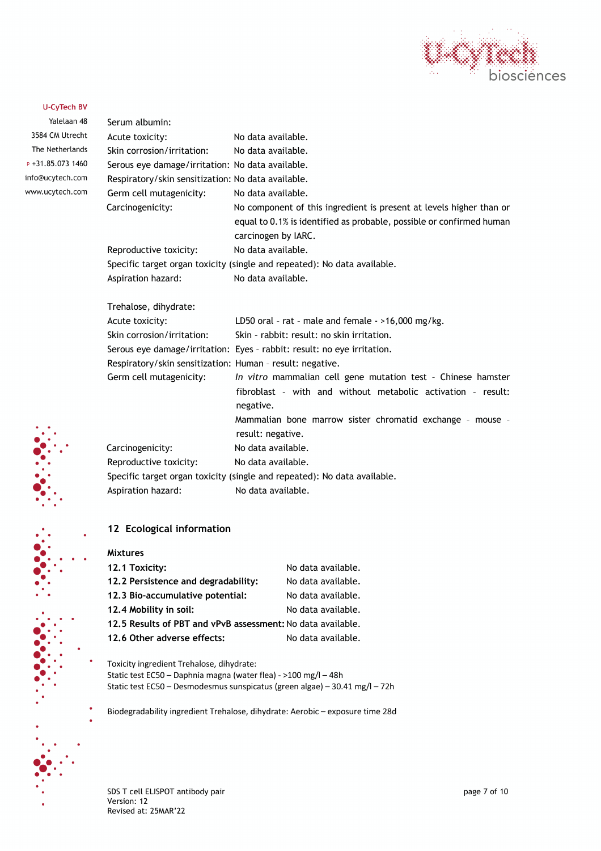

Yalelaan 48 3584 CM Utr The Netherl  $P + 31.85.073$ info@ucytech. www.ucytech.

| າກ 48 | Serum albumin:                                            |                                                                                |
|-------|-----------------------------------------------------------|--------------------------------------------------------------------------------|
| echt  | Acute toxicity:                                           | No data available.                                                             |
| ands  | Skin corrosion/irritation:                                | No data available.                                                             |
| 1460  | Serous eye damage/irritation: No data available.          |                                                                                |
| .com  | Respiratory/skin sensitization: No data available.        |                                                                                |
| .com  | Germ cell mutagenicity:                                   | No data available.                                                             |
|       | Carcinogenicity:                                          | No component of this ingredient is present at levels higher than or            |
|       |                                                           | equal to 0.1% is identified as probable, possible or confirmed human           |
|       |                                                           | carcinogen by IARC.                                                            |
|       | Reproductive toxicity:                                    | No data available.                                                             |
|       |                                                           | Specific target organ toxicity (single and repeated): No data available.       |
|       | Aspiration hazard:                                        | No data available.                                                             |
|       | Trehalose, dihydrate:                                     |                                                                                |
|       | Acute toxicity:                                           | LD50 oral - rat - male and female - $>16,000$ mg/kg.                           |
|       | Skin corrosion/irritation:                                | Skin - rabbit: result: no skin irritation.                                     |
|       |                                                           | Serous eye damage/irritation: Eyes - rabbit: result: no eye irritation.        |
|       | Respiratory/skin sensitization: Human - result: negative. |                                                                                |
|       | Germ cell mutagenicity:                                   | In vitro mammalian cell gene mutation test - Chinese hamster                   |
|       |                                                           | fibroblast - with and without metabolic activation - result:<br>negative.      |
|       |                                                           | Mammalian bone marrow sister chromatid exchange - mouse -<br>result: negative. |
|       | Carcinogenicity:                                          | No data available.                                                             |
|       | Reproductive toxicity:                                    | No data available.                                                             |
|       |                                                           | Specific target organ toxicity (single and repeated): No data available.       |
|       | Aspiration hazard:                                        | No data available.                                                             |
|       |                                                           |                                                                                |
|       |                                                           |                                                                                |

## **12 Ecological information**

| No data available.                                          |
|-------------------------------------------------------------|
| No data available.                                          |
| No data available.                                          |
| No data available.                                          |
| 12.5 Results of PBT and vPvB assessment: No data available. |
| No data available.                                          |
|                                                             |

Toxicity ingredient Trehalose, dihydrate: Static test EC50 – Daphnia magna (water flea) - >100 mg/l – 48h Static test EC50 – Desmodesmus sunspicatus (green algae) – 30.41 mg/l – 72h

Biodegradability ingredient Trehalose, dihydrate: Aerobic – exposure time 28d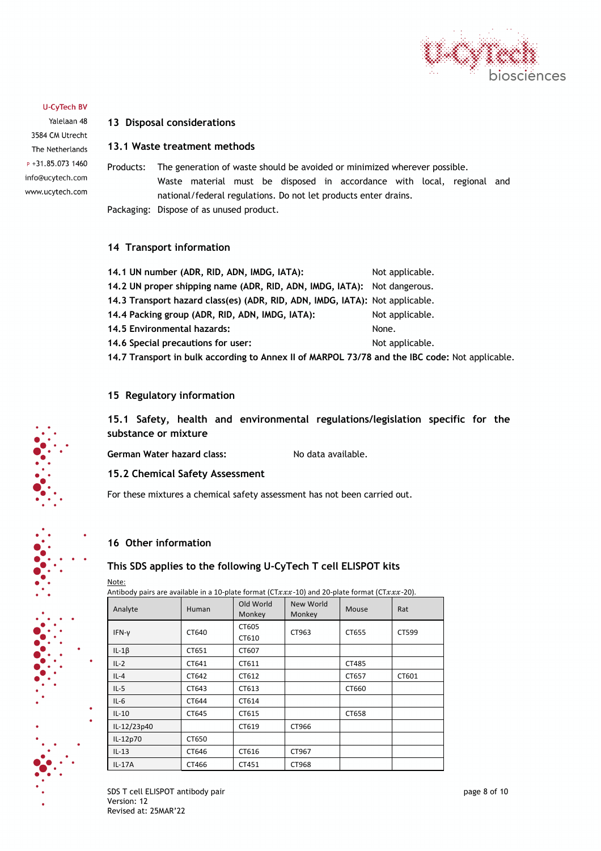

Yalelaan 48 3584 CM Utrecht The Netherlands P +31.85.073 1460 info@ucytech.com www.ucytech.com

## **13 Disposal considerations**

## **13.1 Waste treatment methods**

Products: The generation of waste should be avoided or minimized wherever possible. Waste material must be disposed in accordance with local, regional and national/federal regulations. Do not let products enter drains. Packaging: Dispose of as unused product.

## **14 Transport information**

| 14.1 UN number (ADR, RID, ADN, IMDG, IATA):                                                    | Not applicable. |
|------------------------------------------------------------------------------------------------|-----------------|
| 14.2 UN proper shipping name (ADR, RID, ADN, IMDG, IATA): Not dangerous.                       |                 |
| 14.3 Transport hazard class(es) (ADR, RID, ADN, IMDG, IATA): Not applicable.                   |                 |
| 14.4 Packing group (ADR, RID, ADN, IMDG, IATA):                                                | Not applicable. |
| 14.5 Environmental hazards:                                                                    | None.           |
| 14.6 Special precautions for user:                                                             | Not applicable. |
| 14.7 Transport in bulk according to Annex II of MARPOL 73/78 and the IBC code: Not applicable. |                 |

## **15 Regulatory information**

**15.1 Safety, health and environmental regulations/legislation specific for the substance or mixture**

German Water hazard class: No data available.

#### **15.2 Chemical Safety Assessment**

For these mixtures a chemical safety assessment has not been carried out.

## **16 Other information**

## **This SDS applies to the following U-CyTech T cell ELISPOT kits**

Note:

Antibody pairs are available in a 10-plate format (CT $xxx$ -10) and 20-plate format (CT $xxx$ -20).

| Analyte     | Human | Old World<br>Monkey | New World<br>Monkey | Mouse | Rat   |
|-------------|-------|---------------------|---------------------|-------|-------|
| IFN-y       | CT640 | CT605<br>CT610      | CT963               | CT655 | CT599 |
| $IL-1\beta$ | CT651 | CT607               |                     |       |       |
| $IL-2$      | CT641 | CT611               |                     | CT485 |       |
| $IL-4$      | CT642 | CT612               |                     | CT657 | CT601 |
| $IL-5$      | CT643 | CT613               |                     | CT660 |       |
| $IL-6$      | CT644 | CT614               |                     |       |       |
| $IL-10$     | CT645 | CT615               |                     | CT658 |       |
| IL-12/23p40 |       | CT619               | CT966               |       |       |
| IL-12p70    | CT650 |                     |                     |       |       |
| $IL-13$     | CT646 | CT616               | CT967               |       |       |
| IL-17A      | CT466 | CT451               | CT968               |       |       |

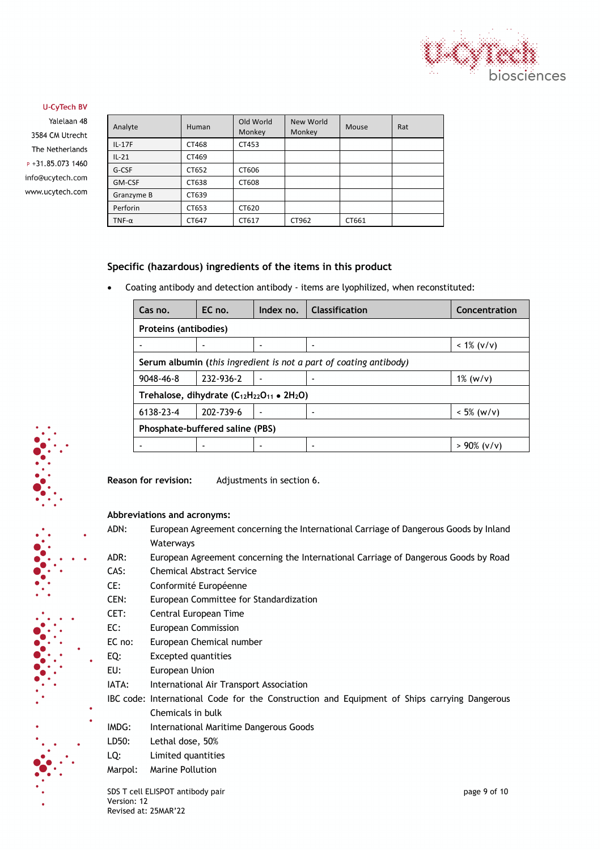

Yalelaan 48 3584 CM Utrecht The Netherlands  $P + 31.85.0731460$ info@ucytech.com www.ucytech.com

| Analyte      | Human | Old World<br>Monkey | New World<br>Monkey | Mouse | Rat |
|--------------|-------|---------------------|---------------------|-------|-----|
| $IL-17F$     | CT468 | CT453               |                     |       |     |
| $IL-21$      | CT469 |                     |                     |       |     |
| G-CSF        | CT652 | CT606               |                     |       |     |
| GM-CSF       | CT638 | CT608               |                     |       |     |
| Granzyme B   | CT639 |                     |                     |       |     |
| Perforin     | CT653 | CT620               |                     |       |     |
| $TNF-\alpha$ | CT647 | CT617               | CT962               | CT661 |     |

## **Specific (hazardous) ingredients of the items in this product**

• Coating antibody and detection antibody - items are lyophilized, when reconstituted:

| Cas no.                                                   | EC no.                                                            | Index no.                | <b>Classification</b> | Concentration  |  |  |
|-----------------------------------------------------------|-------------------------------------------------------------------|--------------------------|-----------------------|----------------|--|--|
|                                                           | Proteins (antibodies)                                             |                          |                       |                |  |  |
|                                                           |                                                                   | -                        |                       | $< 1\%$ (v/v)  |  |  |
|                                                           | Serum albumin (this ingredient is not a part of coating antibody) |                          |                       |                |  |  |
| $9048 - 46 - 8$                                           | 232-936-2                                                         | $\blacksquare$           |                       | $1\%$ (w/v)    |  |  |
| Trehalose, dihydrate $(C_{12}H_{22}O_{11} \bullet 2H_2O)$ |                                                                   |                          |                       |                |  |  |
| 6138-23-4                                                 | 202-739-6                                                         | $\overline{\phantom{a}}$ |                       | $< 5\%$ (w/v)  |  |  |
| Phosphate-buffered saline (PBS)                           |                                                                   |                          |                       |                |  |  |
|                                                           |                                                                   |                          |                       | $> 90\%$ (v/v) |  |  |

**Reason for revision:** Adjustments in section 6.

**Abbreviations and acronyms:**

- ADN: European Agreement concerning the International Carriage of Dangerous Goods by Inland Waterways
- ADR: European Agreement concerning the International Carriage of Dangerous Goods by Road
- CAS: Chemical Abstract Service
- CE: Conformité Européenne
- CEN: European Committee for Standardization
- CET: Central European Time
- EC: European Commission
- EC no: European Chemical number
- EQ: Excepted quantities
- EU: European Union
- IATA: International Air Transport Association
- IBC code: International Code for the Construction and Equipment of Ships carrying Dangerous Chemicals in bulk
- IMDG: International Maritime Dangerous Goods
- LD50: Lethal dose, 50%
- LQ: Limited quantities
- Marpol: Marine Pollution

SDS T cell ELISPOT antibody pair contract the state of the page 9 of 10 Version: 12 Revised at: 25MAR'22